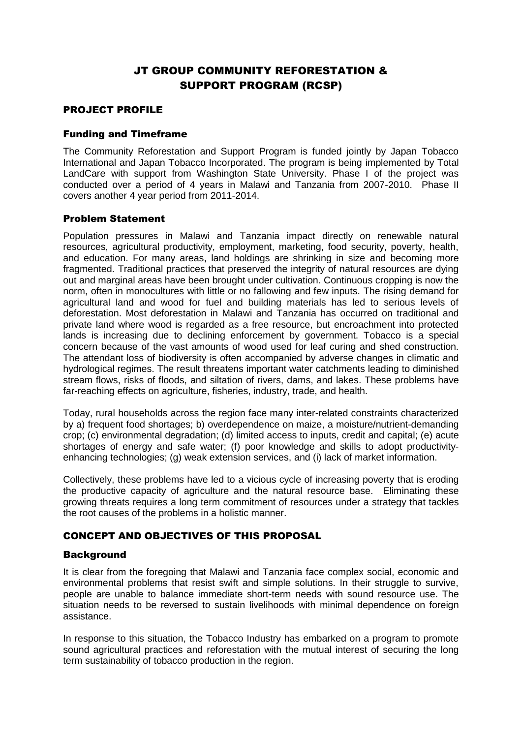# JT GROUP COMMUNITY REFORESTATION & SUPPORT PROGRAM (RCSP)

#### PROJECT PROFILE

#### Funding and Timeframe

The Community Reforestation and Support Program is funded jointly by Japan Tobacco International and Japan Tobacco Incorporated. The program is being implemented by Total LandCare with support from Washington State University. Phase I of the project was conducted over a period of 4 years in Malawi and Tanzania from 2007-2010. Phase II covers another 4 year period from 2011-2014.

#### Problem Statement

Population pressures in Malawi and Tanzania impact directly on renewable natural resources, agricultural productivity, employment, marketing, food security, poverty, health, and education. For many areas, land holdings are shrinking in size and becoming more fragmented. Traditional practices that preserved the integrity of natural resources are dying out and marginal areas have been brought under cultivation. Continuous cropping is now the norm, often in monocultures with little or no fallowing and few inputs. The rising demand for agricultural land and wood for fuel and building materials has led to serious levels of deforestation. Most deforestation in Malawi and Tanzania has occurred on traditional and private land where wood is regarded as a free resource, but encroachment into protected lands is increasing due to declining enforcement by government. Tobacco is a special concern because of the vast amounts of wood used for leaf curing and shed construction. The attendant loss of biodiversity is often accompanied by adverse changes in climatic and hydrological regimes. The result threatens important water catchments leading to diminished stream flows, risks of floods, and siltation of rivers, dams, and lakes. These problems have far-reaching effects on agriculture, fisheries, industry, trade, and health.

Today, rural households across the region face many inter-related constraints characterized by a) frequent food shortages; b) overdependence on maize, a moisture/nutrient-demanding crop; (c) environmental degradation; (d) limited access to inputs, credit and capital; (e) acute shortages of energy and safe water; (f) poor knowledge and skills to adopt productivityenhancing technologies; (g) weak extension services, and (i) lack of market information.

Collectively, these problems have led to a vicious cycle of increasing poverty that is eroding the productive capacity of agriculture and the natural resource base. Eliminating these growing threats requires a long term commitment of resources under a strategy that tackles the root causes of the problems in a holistic manner.

# CONCEPT AND OBJECTIVES OF THIS PROPOSAL

#### **Background**

It is clear from the foregoing that Malawi and Tanzania face complex social, economic and environmental problems that resist swift and simple solutions. In their struggle to survive, people are unable to balance immediate short-term needs with sound resource use. The situation needs to be reversed to sustain livelihoods with minimal dependence on foreign assistance.

In response to this situation, the Tobacco Industry has embarked on a program to promote sound agricultural practices and reforestation with the mutual interest of securing the long term sustainability of tobacco production in the region.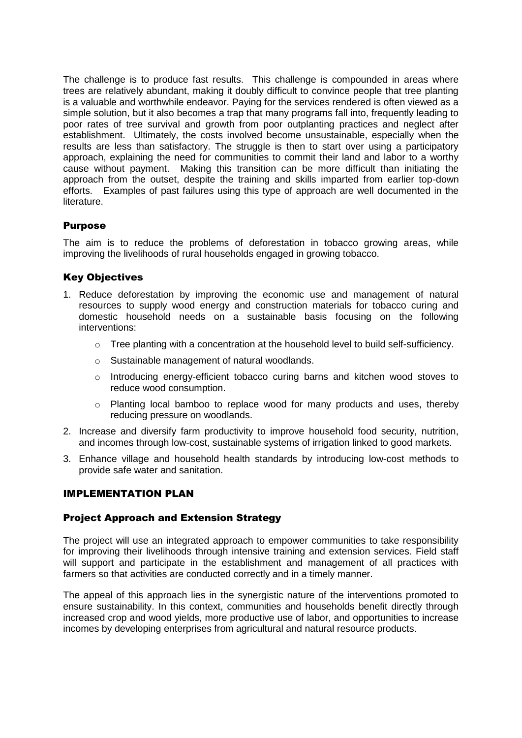The challenge is to produce fast results. This challenge is compounded in areas where trees are relatively abundant, making it doubly difficult to convince people that tree planting is a valuable and worthwhile endeavor. Paying for the services rendered is often viewed as a simple solution, but it also becomes a trap that many programs fall into, frequently leading to poor rates of tree survival and growth from poor outplanting practices and neglect after establishment. Ultimately, the costs involved become unsustainable, especially when the results are less than satisfactory. The struggle is then to start over using a participatory approach, explaining the need for communities to commit their land and labor to a worthy cause without payment. Making this transition can be more difficult than initiating the approach from the outset, despite the training and skills imparted from earlier top-down efforts. Examples of past failures using this type of approach are well documented in the literature.

# Purpose

The aim is to reduce the problems of deforestation in tobacco growing areas, while improving the livelihoods of rural households engaged in growing tobacco.

#### Key Objectives

- 1. Reduce deforestation by improving the economic use and management of natural resources to supply wood energy and construction materials for tobacco curing and domestic household needs on a sustainable basis focusing on the following interventions:
	- o Tree planting with a concentration at the household level to build self-sufficiency.
	- o Sustainable management of natural woodlands.
	- o Introducing energy-efficient tobacco curing barns and kitchen wood stoves to reduce wood consumption.
	- o Planting local bamboo to replace wood for many products and uses, thereby reducing pressure on woodlands.
- 2. Increase and diversify farm productivity to improve household food security, nutrition, and incomes through low-cost, sustainable systems of irrigation linked to good markets.
- 3. Enhance village and household health standards by introducing low-cost methods to provide safe water and sanitation.

### IMPLEMENTATION PLAN

#### Project Approach and Extension Strategy

The project will use an integrated approach to empower communities to take responsibility for improving their livelihoods through intensive training and extension services. Field staff will support and participate in the establishment and management of all practices with farmers so that activities are conducted correctly and in a timely manner.

The appeal of this approach lies in the synergistic nature of the interventions promoted to ensure sustainability. In this context, communities and households benefit directly through increased crop and wood yields, more productive use of labor, and opportunities to increase incomes by developing enterprises from agricultural and natural resource products.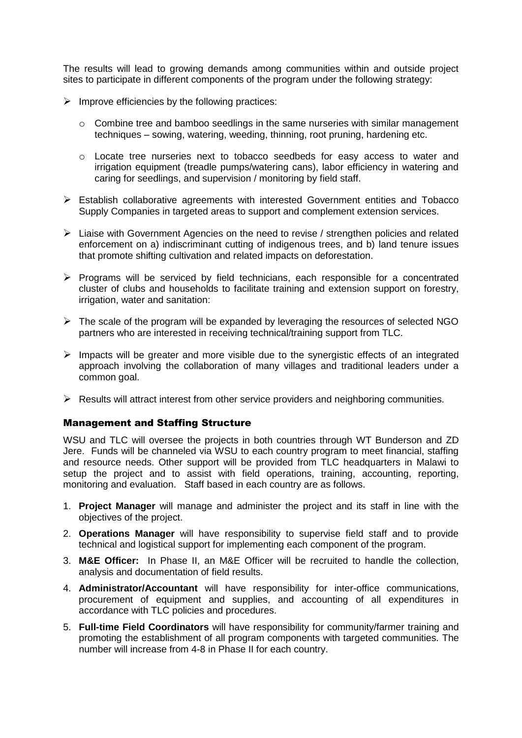The results will lead to growing demands among communities within and outside project sites to participate in different components of the program under the following strategy:

- $\triangleright$  Improve efficiencies by the following practices:
	- o Combine tree and bamboo seedlings in the same nurseries with similar management techniques – sowing, watering, weeding, thinning, root pruning, hardening etc.
	- o Locate tree nurseries next to tobacco seedbeds for easy access to water and irrigation equipment (treadle pumps/watering cans), labor efficiency in watering and caring for seedlings, and supervision / monitoring by field staff.
- Establish collaborative agreements with interested Government entities and Tobacco Supply Companies in targeted areas to support and complement extension services.
- Liaise with Government Agencies on the need to revise / strengthen policies and related enforcement on a) indiscriminant cutting of indigenous trees, and b) land tenure issues that promote shifting cultivation and related impacts on deforestation.
- $\triangleright$  Programs will be serviced by field technicians, each responsible for a concentrated cluster of clubs and households to facilitate training and extension support on forestry, irrigation, water and sanitation:
- $\triangleright$  The scale of the program will be expanded by leveraging the resources of selected NGO partners who are interested in receiving technical/training support from TLC.
- $\triangleright$  Impacts will be greater and more visible due to the synergistic effects of an integrated approach involving the collaboration of many villages and traditional leaders under a common goal.
- $\triangleright$  Results will attract interest from other service providers and neighboring communities.

#### Management and Staffing Structure

WSU and TLC will oversee the projects in both countries through WT Bunderson and ZD Jere. Funds will be channeled via WSU to each country program to meet financial, staffing and resource needs. Other support will be provided from TLC headquarters in Malawi to setup the project and to assist with field operations, training, accounting, reporting, monitoring and evaluation. Staff based in each country are as follows.

- 1. **Project Manager** will manage and administer the project and its staff in line with the objectives of the project.
- 2. **Operations Manager** will have responsibility to supervise field staff and to provide technical and logistical support for implementing each component of the program.
- 3. **M&E Officer:** In Phase II, an M&E Officer will be recruited to handle the collection, analysis and documentation of field results.
- 4. **Administrator/Accountant** will have responsibility for inter-office communications, procurement of equipment and supplies, and accounting of all expenditures in accordance with TLC policies and procedures.
- 5. **Full-time Field Coordinators** will have responsibility for community/farmer training and promoting the establishment of all program components with targeted communities. The number will increase from 4-8 in Phase II for each country.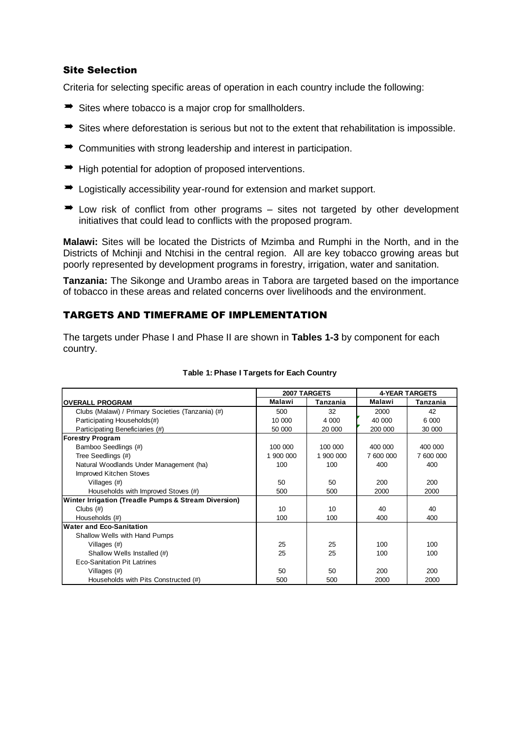#### Site Selection

Criteria for selecting specific areas of operation in each country include the following:

- $\rightarrow$  Sites where tobacco is a major crop for smallholders.
- $\Rightarrow$  Sites where deforestation is serious but not to the extent that rehabilitation is impossible.
- $\rightarrow$  Communities with strong leadership and interest in participation.
- $\rightarrow$  High potential for adoption of proposed interventions.
- $\rightarrow$  Logistically accessibility year-round for extension and market support.
- $\rightarrow$  Low risk of conflict from other programs sites not targeted by other development initiatives that could lead to conflicts with the proposed program.

**Malawi:** Sites will be located the Districts of Mzimba and Rumphi in the North, and in the Districts of Mchinji and Ntchisi in the central region. All are key tobacco growing areas but poorly represented by development programs in forestry, irrigation, water and sanitation.

**Tanzania:** The Sikonge and Urambo areas in Tabora are targeted based on the importance of tobacco in these areas and related concerns over livelihoods and the environment.

### TARGETS AND TIMEFRAME OF IMPLEMENTATION

The targets under Phase I and Phase II are shown in **Tables 1-3** by component for each country.

|                                                      |           | 2007 TARGETS | <b>4-YEAR TARGETS</b> |           |  |
|------------------------------------------------------|-----------|--------------|-----------------------|-----------|--|
| <b>OVERALL PROGRAM</b>                               | Malawi    | Tanzania     | Malawi                | Tanzania  |  |
| Clubs (Malawi) / Primary Societies (Tanzania) (#)    | 500       | 32           | 2000                  | 42        |  |
| Participating Households(#)                          | 10 000    | 4 0 0 0      | 40 000                | 6 0 0 0   |  |
| Participating Beneficiaries (#)                      | 50 000    | 20 000       | 200 000               | 30 000    |  |
| <b>Forestry Program</b>                              |           |              |                       |           |  |
| Bamboo Seedlings (#)                                 | 100 000   | 100 000      | 400 000               | 400 000   |  |
| Tree Seedlings (#)                                   | 1 900 000 | 1 900 000    | 7 600 000             | 7 600 000 |  |
| Natural Woodlands Under Management (ha)              | 100       | 100          | 400                   | 400       |  |
| Improved Kitchen Stoves                              |           |              |                       |           |  |
| Villages $(\#)$                                      | 50        | 50           | 200                   | 200       |  |
| Households with Improved Stoves (#)                  | 500       | 500          | 2000                  | 2000      |  |
| Winter Irrigation (Treadle Pumps & Stream Diversion) |           |              |                       |           |  |
| Clubs $(\#)$                                         | 10        | 10           | 40                    | 40        |  |
| Households (#)                                       | 100       | 100          | 400                   | 400       |  |
| <b>Water and Eco-Sanitation</b>                      |           |              |                       |           |  |
| Shallow Wells with Hand Pumps                        |           |              |                       |           |  |
| Villages $(\#)$                                      | 25        | 25           | 100                   | 100       |  |
| Shallow Wells Installed (#)                          | 25        | 25           | 100                   | 100       |  |
| <b>Eco-Sanitation Pit Latrines</b>                   |           |              |                       |           |  |
| Villages $(\#)$                                      | 50        | 50           | 200                   | 200       |  |
| Households with Pits Constructed (#)                 | 500       | 500          | 2000                  | 2000      |  |

#### **Table 1: Phase I Targets for Each Country**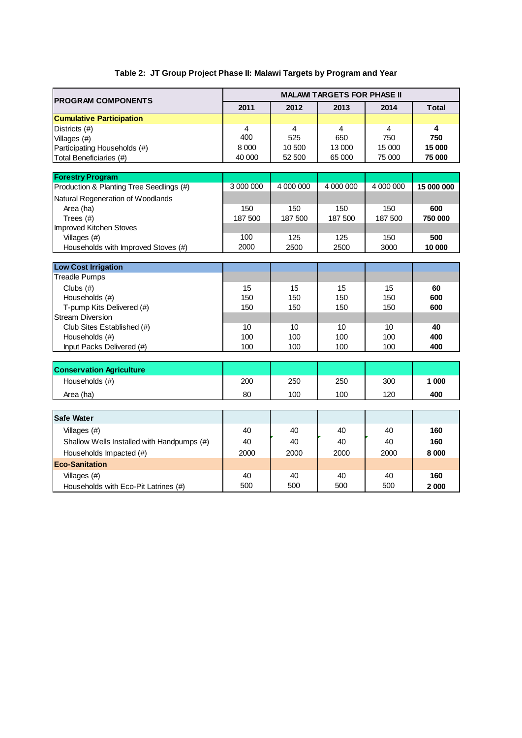# **Table 2: JT Group Project Phase II: Malawi Targets by Program and Year**

| <b>PROGRAM COMPONENTS</b>                          | <b>MALAWI TARGETS FOR PHASE II</b> |           |           |           |              |  |
|----------------------------------------------------|------------------------------------|-----------|-----------|-----------|--------------|--|
|                                                    | 2011                               | 2012      | 2013      | 2014      | <b>Total</b> |  |
| <b>Cumulative Participation</b>                    |                                    |           |           |           |              |  |
| Districts (#)                                      | 4                                  | 4         | 4         | 4         | 4            |  |
| Villages (#)                                       | 400                                | 525       | 650       | 750       | 750          |  |
| Participating Households (#)                       | 8 0 0 0                            | 10 500    | 13 000    | 15 000    | 15 000       |  |
| Total Beneficiaries (#)                            | 40 000                             | 52 500    | 65 000    | 75 000    | 75 000       |  |
| <b>Forestry Program</b>                            |                                    |           |           |           |              |  |
| Production & Planting Tree Seedlings (#)           | 3 000 000                          | 4 000 000 | 4 000 000 | 4 000 000 | 15 000 000   |  |
| Natural Regeneration of Woodlands                  |                                    |           |           |           |              |  |
| Area (ha)                                          | 150                                | 150       | 150       | 150       | 600          |  |
| Trees $(#)$                                        | 187 500                            | 187 500   | 187 500   | 187 500   | 750 000      |  |
| <b>Improved Kitchen Stoves</b>                     |                                    |           |           |           |              |  |
| Villages $($ #)                                    | 100                                | 125       | 125       | 150       | 500          |  |
| Households with Improved Stoves (#)                | 2000                               | 2500      | 2500      | 3000      | 10 000       |  |
|                                                    |                                    |           |           |           |              |  |
| <b>Low Cost Irrigation</b><br><b>Treadle Pumps</b> |                                    |           |           |           |              |  |
| Clubs $(#)$                                        | 15                                 | 15        | 15        | 15        | 60           |  |
| Households (#)                                     | 150                                | 150       | 150       | 150       | 600          |  |
| T-pump Kits Delivered (#)                          | 150                                | 150       | 150       | 150       | 600          |  |
| <b>Stream Diversion</b>                            |                                    |           |           |           |              |  |
| Club Sites Established (#)                         | 10                                 | 10        | 10        | 10        | 40           |  |
| Households (#)                                     | 100                                | 100       | 100       | 100       | 400          |  |
| Input Packs Delivered (#)                          | 100                                | 100       | 100       | 100       | 400          |  |
|                                                    |                                    |           |           |           |              |  |
| <b>Conservation Agriculture</b>                    |                                    |           |           |           |              |  |
| Households (#)                                     | 200                                | 250       | 250       | 300       | 1 000        |  |
| Area (ha)                                          | 80                                 | 100       | 100       | 120       | 400          |  |
|                                                    |                                    |           |           |           |              |  |
| <b>Safe Water</b>                                  |                                    |           |           |           |              |  |
| Villages (#)                                       | 40                                 | 40        | 40        | 40        | 160          |  |
| Shallow Wells Installed with Handpumps (#)         | 40                                 | 40        | 40        | 40        | 160          |  |
| Households Impacted (#)                            | 2000                               | 2000      | 2000      | 2000      | 8 0 0 0      |  |
| <b>Eco-Sanitation</b>                              |                                    |           |           |           |              |  |
| Villages (#)                                       | 40                                 | 40        | 40        | 40        | 160          |  |
| Households with Eco-Pit Latrines (#)               | 500                                | 500       | 500       | 500       | 2000         |  |